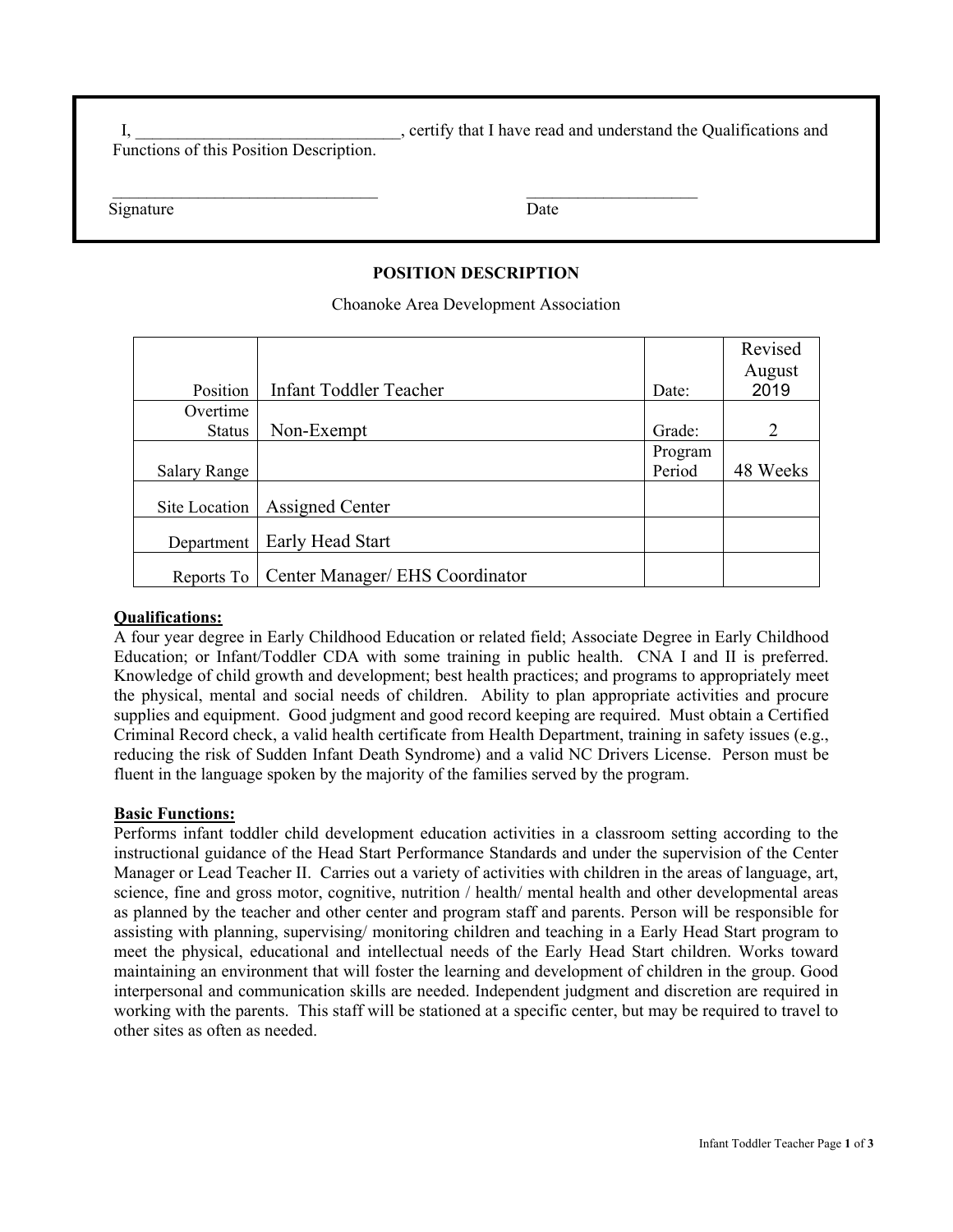I, the set of the set of the set of the set of the Cualifications and understand the Qualifications and I have read and understand the Qualifications and Functions of this Position Description.

 $\mathcal{L}=\frac{1}{2}$  , where  $\mathcal{L}=\frac{1}{2}$  , where  $\mathcal{L}=\frac{1}{2}$  , where  $\mathcal{L}=\frac{1}{2}$  , where  $\mathcal{L}=\frac{1}{2}$ 

| Signature | Date |
|-----------|------|
|-----------|------|

# **POSITION DESCRIPTION**

Choanoke Area Development Association

|                     |                                 |         | Revised                     |
|---------------------|---------------------------------|---------|-----------------------------|
|                     |                                 |         | August                      |
| Position            | <b>Infant Toddler Teacher</b>   | Date:   | 2019                        |
| Overtime            |                                 |         |                             |
| <b>Status</b>       | Non-Exempt                      | Grade:  | $\mathcal{D}_{\mathcal{L}}$ |
|                     |                                 | Program |                             |
| <b>Salary Range</b> |                                 | Period  | 48 Weeks                    |
| Site Location       | <b>Assigned Center</b>          |         |                             |
| Department          | Early Head Start                |         |                             |
| Reports To          | Center Manager/ EHS Coordinator |         |                             |

### **Qualifications:**

A four year degree in Early Childhood Education or related field; Associate Degree in Early Childhood Education; or Infant/Toddler CDA with some training in public health. CNA I and II is preferred. Knowledge of child growth and development; best health practices; and programs to appropriately meet the physical, mental and social needs of children. Ability to plan appropriate activities and procure supplies and equipment. Good judgment and good record keeping are required. Must obtain a Certified Criminal Record check, a valid health certificate from Health Department, training in safety issues (e.g., reducing the risk of Sudden Infant Death Syndrome) and a valid NC Drivers License. Person must be fluent in the language spoken by the majority of the families served by the program.

#### **Basic Functions:**

Performs infant toddler child development education activities in a classroom setting according to the instructional guidance of the Head Start Performance Standards and under the supervision of the Center Manager or Lead Teacher II. Carries out a variety of activities with children in the areas of language, art, science, fine and gross motor, cognitive, nutrition / health/ mental health and other developmental areas as planned by the teacher and other center and program staff and parents. Person will be responsible for assisting with planning, supervising/ monitoring children and teaching in a Early Head Start program to meet the physical, educational and intellectual needs of the Early Head Start children. Works toward maintaining an environment that will foster the learning and development of children in the group. Good interpersonal and communication skills are needed. Independent judgment and discretion are required in working with the parents. This staff will be stationed at a specific center, but may be required to travel to other sites as often as needed.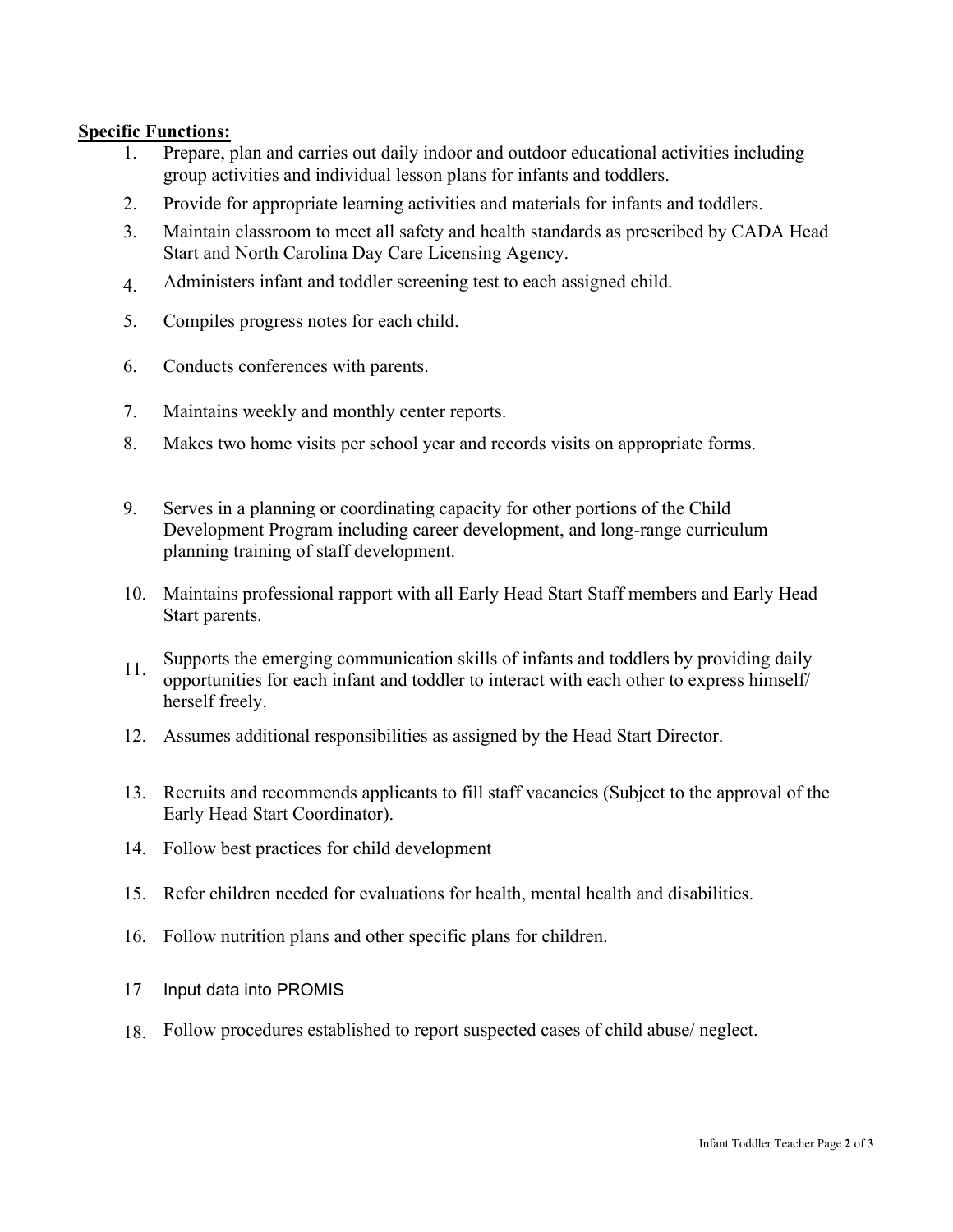# **Specific Functions:**

- 1. Prepare, plan and carries out daily indoor and outdoor educational activities including group activities and individual lesson plans for infants and toddlers.
- 2. Provide for appropriate learning activities and materials for infants and toddlers.
- 3. Maintain classroom to meet all safety and health standards as prescribed by CADA Head Start and North Carolina Day Care Licensing Agency.
- 4. Administers infant and toddler screening test to each assigned child.
- 5. Compiles progress notes for each child.
- 6. Conducts conferences with parents.
- 7. Maintains weekly and monthly center reports.
- 8. Makes two home visits per school year and records visits on appropriate forms.
- 9. Serves in a planning or coordinating capacity for other portions of the Child Development Program including career development, and long-range curriculum planning training of staff development.
- 10. Maintains professional rapport with all Early Head Start Staff members and Early Head Start parents.
- 11. Supports the emerging communication skills of infants and toddlers by providing daily opportunities for each infant and toddler to interact with each other to express himself/ herself freely.
- 12. Assumes additional responsibilities as assigned by the Head Start Director.
- 13. Recruits and recommends applicants to fill staff vacancies (Subject to the approval of the Early Head Start Coordinator).
- 14. Follow best practices for child development
- 15. Refer children needed for evaluations for health, mental health and disabilities.
- 16. Follow nutrition plans and other specific plans for children.
- 17 Input data into PROMIS
- 18. Follow procedures established to report suspected cases of child abuse/ neglect.